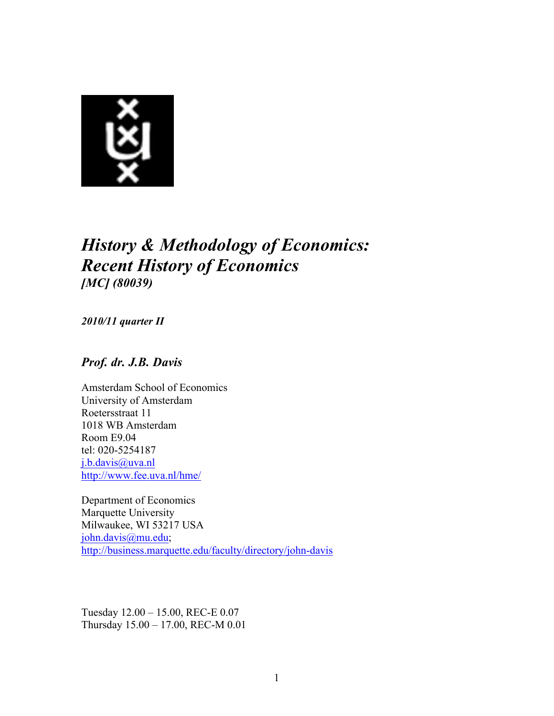

# *History & Methodology of Economics: Recent History of Economics [MC] (80039)*

*2010/11 quarter II*

### *Prof. dr. J.B. Davis*

Amsterdam School of Economics University of Amsterdam Roetersstraat 11 1018 WB Amsterdam Room E9.04 tel: 020-5254187 j.b.davis@uva.nl http://www.fee.uva.nl/hme/

Department of Economics Marquette University Milwaukee, WI 53217 USA john.davis@mu.edu; http://business.marquette.edu/faculty/directory/john-davis

Tuesday 12.00 – 15.00, REC-E 0.07 Thursday 15.00 – 17.00, REC-M 0.01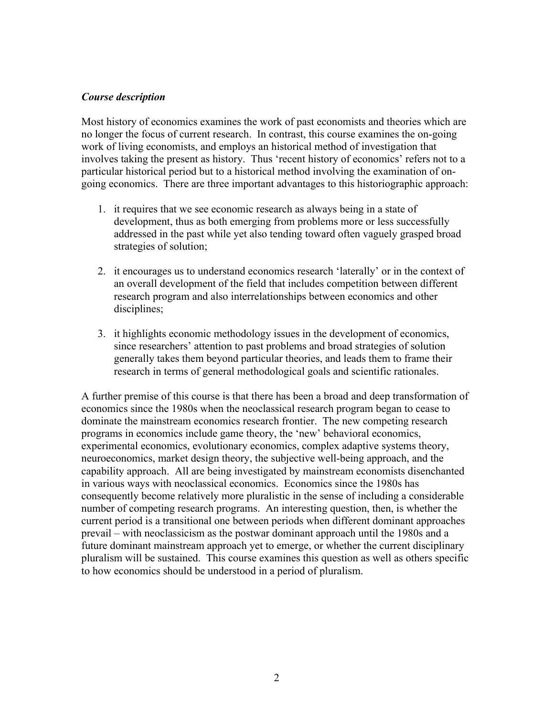#### *Course description*

Most history of economics examines the work of past economists and theories which are no longer the focus of current research. In contrast, this course examines the on-going work of living economists, and employs an historical method of investigation that involves taking the present as history. Thus 'recent history of economics' refers not to a particular historical period but to a historical method involving the examination of ongoing economics. There are three important advantages to this historiographic approach:

- 1. it requires that we see economic research as always being in a state of development, thus as both emerging from problems more or less successfully addressed in the past while yet also tending toward often vaguely grasped broad strategies of solution;
- 2. it encourages us to understand economics research 'laterally' or in the context of an overall development of the field that includes competition between different research program and also interrelationships between economics and other disciplines;
- 3. it highlights economic methodology issues in the development of economics, since researchers' attention to past problems and broad strategies of solution generally takes them beyond particular theories, and leads them to frame their research in terms of general methodological goals and scientific rationales.

A further premise of this course is that there has been a broad and deep transformation of economics since the 1980s when the neoclassical research program began to cease to dominate the mainstream economics research frontier. The new competing research programs in economics include game theory, the 'new' behavioral economics, experimental economics, evolutionary economics, complex adaptive systems theory, neuroeconomics, market design theory, the subjective well-being approach, and the capability approach. All are being investigated by mainstream economists disenchanted in various ways with neoclassical economics. Economics since the 1980s has consequently become relatively more pluralistic in the sense of including a considerable number of competing research programs. An interesting question, then, is whether the current period is a transitional one between periods when different dominant approaches prevail – with neoclassicism as the postwar dominant approach until the 1980s and a future dominant mainstream approach yet to emerge, or whether the current disciplinary pluralism will be sustained. This course examines this question as well as others specific to how economics should be understood in a period of pluralism.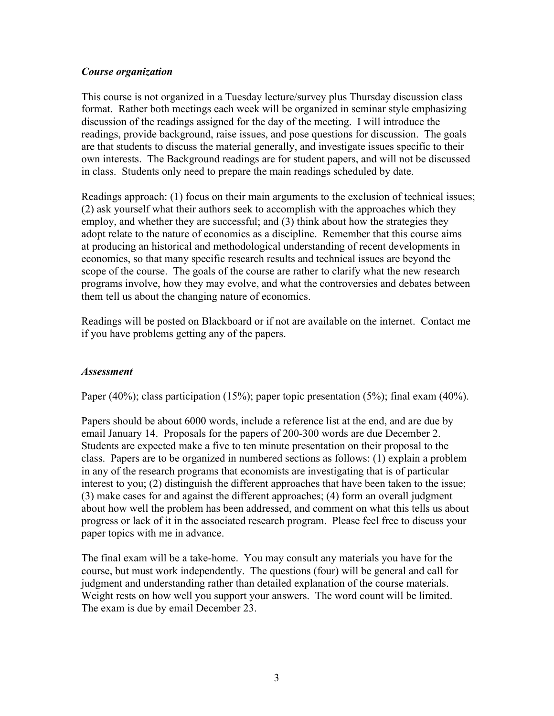#### *Course organization*

This course is not organized in a Tuesday lecture/survey plus Thursday discussion class format. Rather both meetings each week will be organized in seminar style emphasizing discussion of the readings assigned for the day of the meeting. I will introduce the readings, provide background, raise issues, and pose questions for discussion. The goals are that students to discuss the material generally, and investigate issues specific to their own interests. The Background readings are for student papers, and will not be discussed in class. Students only need to prepare the main readings scheduled by date.

Readings approach: (1) focus on their main arguments to the exclusion of technical issues; (2) ask yourself what their authors seek to accomplish with the approaches which they employ, and whether they are successful; and (3) think about how the strategies they adopt relate to the nature of economics as a discipline. Remember that this course aims at producing an historical and methodological understanding of recent developments in economics, so that many specific research results and technical issues are beyond the scope of the course. The goals of the course are rather to clarify what the new research programs involve, how they may evolve, and what the controversies and debates between them tell us about the changing nature of economics.

Readings will be posted on Blackboard or if not are available on the internet. Contact me if you have problems getting any of the papers.

#### *Assessment*

Paper (40%); class participation (15%); paper topic presentation (5%); final exam (40%).

Papers should be about 6000 words, include a reference list at the end, and are due by email January 14. Proposals for the papers of 200-300 words are due December 2. Students are expected make a five to ten minute presentation on their proposal to the class. Papers are to be organized in numbered sections as follows: (1) explain a problem in any of the research programs that economists are investigating that is of particular interest to you; (2) distinguish the different approaches that have been taken to the issue; (3) make cases for and against the different approaches; (4) form an overall judgment about how well the problem has been addressed, and comment on what this tells us about progress or lack of it in the associated research program. Please feel free to discuss your paper topics with me in advance.

The final exam will be a take-home. You may consult any materials you have for the course, but must work independently. The questions (four) will be general and call for judgment and understanding rather than detailed explanation of the course materials. Weight rests on how well you support your answers. The word count will be limited. The exam is due by email December 23.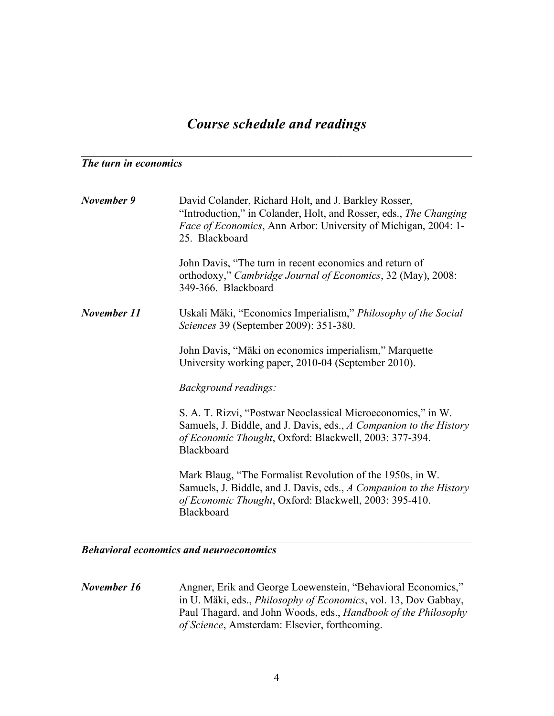## *Course schedule and readings*

 $\mathcal{L}_\text{max}$  , and the contribution of the contribution of the contribution of the contribution of the contribution of the contribution of the contribution of the contribution of the contribution of the contribution of t

#### *The turn in economics*

| November 9  | David Colander, Richard Holt, and J. Barkley Rosser,<br>"Introduction," in Colander, Holt, and Rosser, eds., The Changing<br><i>Face of Economics</i> , Ann Arbor: University of Michigan, 2004: 1-<br>25. Blackboard |
|-------------|-----------------------------------------------------------------------------------------------------------------------------------------------------------------------------------------------------------------------|
|             | John Davis, "The turn in recent economics and return of<br>orthodoxy," Cambridge Journal of Economics, 32 (May), 2008:<br>349-366. Blackboard                                                                         |
| November 11 | Uskali Mäki, "Economics Imperialism," Philosophy of the Social<br>Sciences 39 (September 2009): 351-380.                                                                                                              |
|             | John Davis, "Mäki on economics imperialism," Marquette<br>University working paper, 2010-04 (September 2010).                                                                                                         |
|             | Background readings:                                                                                                                                                                                                  |
|             | S. A. T. Rizvi, "Postwar Neoclassical Microeconomics," in W.<br>Samuels, J. Biddle, and J. Davis, eds., A Companion to the History<br>of Economic Thought, Oxford: Blackwell, 2003: 377-394.<br>Blackboard            |
|             | Mark Blaug, "The Formalist Revolution of the 1950s, in W.<br>Samuels, J. Biddle, and J. Davis, eds., A Companion to the History<br>of Economic Thought, Oxford: Blackwell, 2003: 395-410.<br>Blackboard               |

#### *Behavioral economics and neuroeconomics*

*November 16* Angner, Erik and George Loewenstein, "Behavioral Economics," in U. Mäki, eds., *Philosophy of Economics*, vol. 13, Dov Gabbay, Paul Thagard, and John Woods, eds., *Handbook of the Philosophy of Science*, Amsterdam: Elsevier, forthcoming.

 $\mathcal{L}_\text{max} = \mathcal{L}_\text{max} = \mathcal{L}_\text{max} = \mathcal{L}_\text{max} = \mathcal{L}_\text{max} = \mathcal{L}_\text{max} = \mathcal{L}_\text{max} = \mathcal{L}_\text{max} = \mathcal{L}_\text{max} = \mathcal{L}_\text{max} = \mathcal{L}_\text{max} = \mathcal{L}_\text{max} = \mathcal{L}_\text{max} = \mathcal{L}_\text{max} = \mathcal{L}_\text{max} = \mathcal{L}_\text{max} = \mathcal{L}_\text{max} = \mathcal{L}_\text{max} = \mathcal{$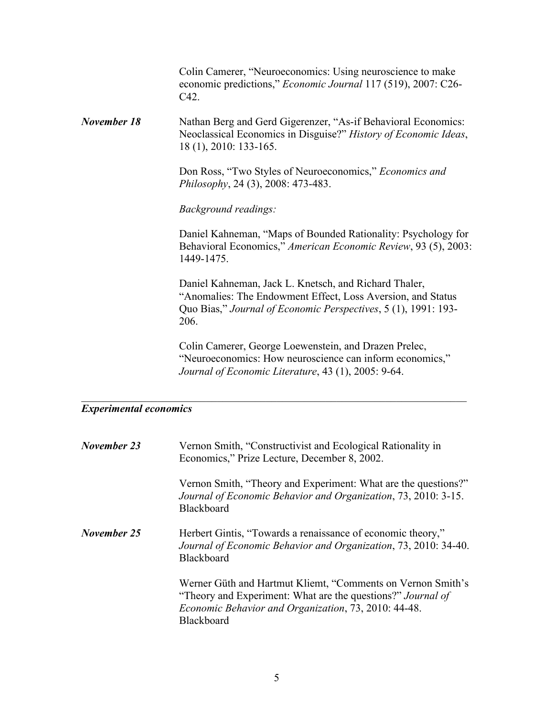Colin Camerer, "Neuroeconomics: Using neuroscience to make economic predictions," *Economic Journal* 117 (519), 2007: C26- C42.

*November 18* Nathan Berg and Gerd Gigerenzer, "As-if Behavioral Economics: Neoclassical Economics in Disguise?" *History of Economic Ideas*, 18 (1), 2010: 133-165.

> Don Ross, "Two Styles of Neuroeconomics," *Economics and Philosophy*, 24 (3), 2008: 473-483.

*Background readings:*

Daniel Kahneman, "Maps of Bounded Rationality: Psychology for Behavioral Economics," *American Economic Review*, 93 (5), 2003: 1449-1475.

Daniel Kahneman, Jack L. Knetsch, and Richard Thaler, "Anomalies: The Endowment Effect, Loss Aversion, and Status Quo Bias," *Journal of Economic Perspectives*, 5 (1), 1991: 193- 206.

Colin Camerer, George Loewenstein, and Drazen Prelec, "Neuroeconomics: How neuroscience can inform economics," *Journal of Economic Literature*, 43 (1), 2005: 9-64.

#### *Experimental economics*

| November 23 | Vernon Smith, "Constructivist and Ecological Rationality in<br>Economics," Prize Lecture, December 8, 2002.                                                                                      |
|-------------|--------------------------------------------------------------------------------------------------------------------------------------------------------------------------------------------------|
|             | Vernon Smith, "Theory and Experiment: What are the questions?"<br>Journal of Economic Behavior and Organization, 73, 2010: 3-15.<br><b>Blackboard</b>                                            |
| November 25 | Herbert Gintis, "Towards a renaissance of economic theory,"<br>Journal of Economic Behavior and Organization, 73, 2010: 34-40.<br><b>Blackboard</b>                                              |
|             | Werner Güth and Hartmut Kliemt, "Comments on Vernon Smith's<br>"Theory and Experiment: What are the questions?" Journal of<br>Economic Behavior and Organization, 73, 2010: 44-48.<br>Blackboard |

 $\mathcal{L}_\text{max}$  , and the contribution of the contribution of the contribution of the contribution of the contribution of the contribution of the contribution of the contribution of the contribution of the contribution of t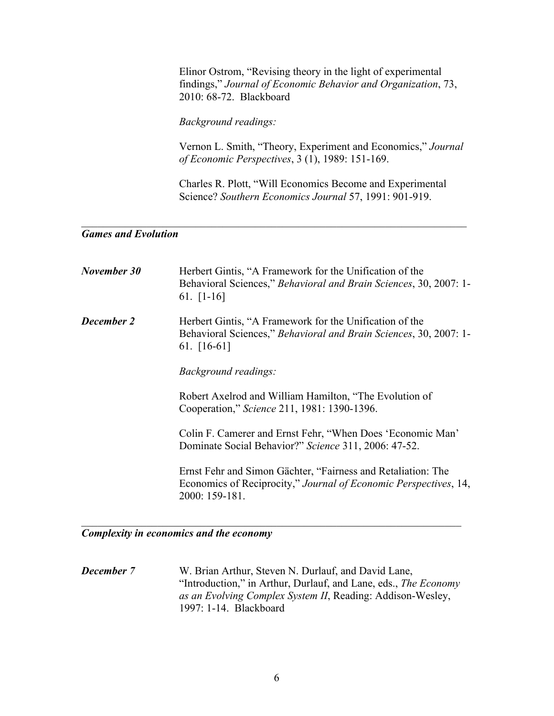Elinor Ostrom, "Revising theory in the light of experimental findings," *Journal of Economic Behavior and Organization*, 73, 2010: 68-72. Blackboard

*Background readings:*

Vernon L. Smith, "Theory, Experiment and Economics," *Journal of Economic Perspectives*, 3 (1), 1989: 151-169.

Charles R. Plott, "Will Economics Become and Experimental Science? *Southern Economics Journal* 57, 1991: 901-919.

#### *Games and Evolution*

| November 30       | Herbert Gintis, "A Framework for the Unification of the<br>Behavioral Sciences," Behavioral and Brain Sciences, 30, 2007: 1-<br>61. $[1-16]$       |
|-------------------|----------------------------------------------------------------------------------------------------------------------------------------------------|
| <b>December 2</b> | Herbert Gintis, "A Framework for the Unification of the<br>Behavioral Sciences," Behavioral and Brain Sciences, 30, 2007: 1-<br>61. $[16-61]$      |
|                   | <i>Background readings:</i>                                                                                                                        |
|                   | Robert Axelrod and William Hamilton, "The Evolution of<br>Cooperation," Science 211, 1981: 1390-1396.                                              |
|                   | Colin F. Camerer and Ernst Fehr, "When Does 'Economic Man'<br>Dominate Social Behavior?" Science 311, 2006: 47-52.                                 |
|                   | Ernst Fehr and Simon Gächter, "Fairness and Retaliation: The<br>Economics of Reciprocity," Journal of Economic Perspectives, 14,<br>2000: 159-181. |

 $\mathcal{L}_\text{max} = \mathcal{L}_\text{max} = \mathcal{L}_\text{max} = \mathcal{L}_\text{max} = \mathcal{L}_\text{max} = \mathcal{L}_\text{max} = \mathcal{L}_\text{max} = \mathcal{L}_\text{max} = \mathcal{L}_\text{max} = \mathcal{L}_\text{max} = \mathcal{L}_\text{max} = \mathcal{L}_\text{max} = \mathcal{L}_\text{max} = \mathcal{L}_\text{max} = \mathcal{L}_\text{max} = \mathcal{L}_\text{max} = \mathcal{L}_\text{max} = \mathcal{L}_\text{max} = \mathcal{$ 

#### *Complexity in economics and the economy*

*December 7* W. Brian Arthur, Steven N. Durlauf, and David Lane, "Introduction," in Arthur, Durlauf, and Lane, eds., *The Economy as an Evolving Complex System II*, Reading: Addison-Wesley, 1997: 1-14. Blackboard

 $\mathcal{L}_\text{max}$  and  $\mathcal{L}_\text{max}$  and  $\mathcal{L}_\text{max}$  and  $\mathcal{L}_\text{max}$  and  $\mathcal{L}_\text{max}$  and  $\mathcal{L}_\text{max}$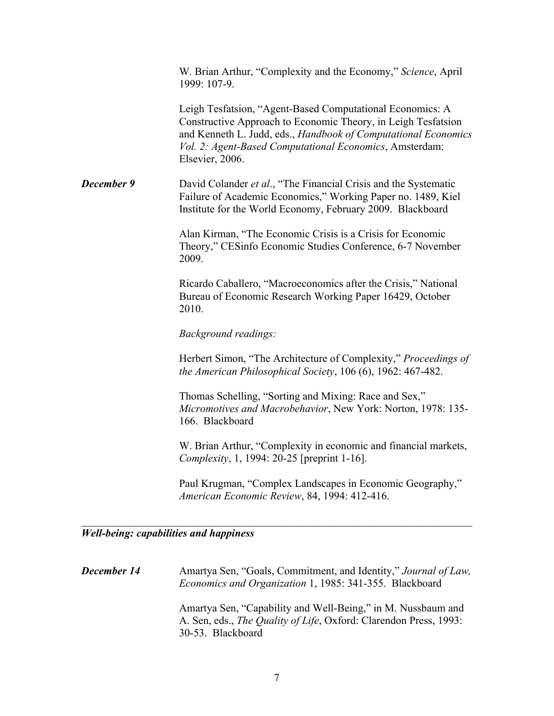W. Brian Arthur, "Complexity and the Economy," *Science*, April 1999: 107-9.

Leigh Tesfatsion, "Agent-Based Computational Economics: A Constructive Approach to Economic Theory, in Leigh Tesfatsion and Kenneth L. Judd, eds., *Handbook of Computational Economics Vol. 2: Agent-Based Computational Economics*, Amsterdam: Elsevier, 2006.

*December 9* David Colander *et al.*, "The Financial Crisis and the Systematic Failure of Academic Economics," Working Paper no. 1489, Kiel Institute for the World Economy, February 2009. Blackboard

> Alan Kirman, "The Economic Crisis is a Crisis for Economic Theory," CESinfo Economic Studies Conference, 6-7 November 2009.

Ricardo Caballero, "Macroeconomics after the Crisis," National Bureau of Economic Research Working Paper 16429, October 2010.

*Background readings:*

Herbert Simon, "The Architecture of Complexity," *Proceedings of the American Philosophical Society*, 106 (6), 1962: 467-482.

Thomas Schelling, "Sorting and Mixing: Race and Sex," *Micromotives and Macrobehavior*, New York: Norton, 1978: 135- 166. Blackboard

W. Brian Arthur, "Complexity in economic and financial markets, *Complexity*, 1, 1994: 20-25 [preprint 1-16].

Paul Krugman, "Complex Landscapes in Economic Geography," *American Economic Review*, 84, 1994: 412-416.

*Well-being: capabilities and happiness*

*December 14* Amartya Sen, "Goals, Commitment, and Identity," *Journal of Law*, *Economics and Organization* 1, 1985: 341-355. Blackboard Amartya Sen, "Capability and Well-Being," in M. Nussbaum and A. Sen, eds., *The Quality of Life*, Oxford: Clarendon Press, 1993: 30-53. Blackboard

 $\mathcal{L}_\text{max}$  , and the contribution of the contribution of the contribution of the contribution of the contribution of the contribution of the contribution of the contribution of the contribution of the contribution of t